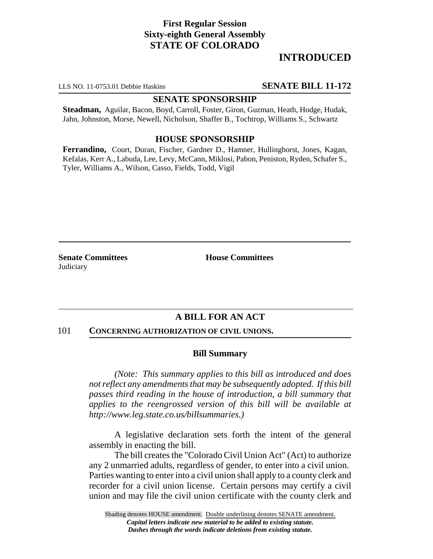# **First Regular Session Sixty-eighth General Assembly STATE OF COLORADO**

# **INTRODUCED**

LLS NO. 11-0753.01 Debbie Haskins **SENATE BILL 11-172**

## **SENATE SPONSORSHIP**

**Steadman,** Aguilar, Bacon, Boyd, Carroll, Foster, Giron, Guzman, Heath, Hodge, Hudak, Jahn, Johnston, Morse, Newell, Nicholson, Shaffer B., Tochtrop, Williams S., Schwartz

### **HOUSE SPONSORSHIP**

**Ferrandino,** Court, Duran, Fischer, Gardner D., Hamner, Hullinghorst, Jones, Kagan, Kefalas, Kerr A., Labuda, Lee, Levy, McCann, Miklosi, Pabon, Peniston, Ryden, Schafer S., Tyler, Williams A., Wilson, Casso, Fields, Todd, Vigil

**Senate Committees House Committees Judiciary** 

## **A BILL FOR AN ACT**

#### 101 **CONCERNING AUTHORIZATION OF CIVIL UNIONS.**

#### **Bill Summary**

*(Note: This summary applies to this bill as introduced and does not reflect any amendments that may be subsequently adopted. If this bill passes third reading in the house of introduction, a bill summary that applies to the reengrossed version of this bill will be available at http://www.leg.state.co.us/billsummaries.)*

A legislative declaration sets forth the intent of the general assembly in enacting the bill.

The bill creates the "Colorado Civil Union Act" (Act) to authorize any 2 unmarried adults, regardless of gender, to enter into a civil union. Parties wanting to enter into a civil union shall apply to a county clerk and recorder for a civil union license. Certain persons may certify a civil union and may file the civil union certificate with the county clerk and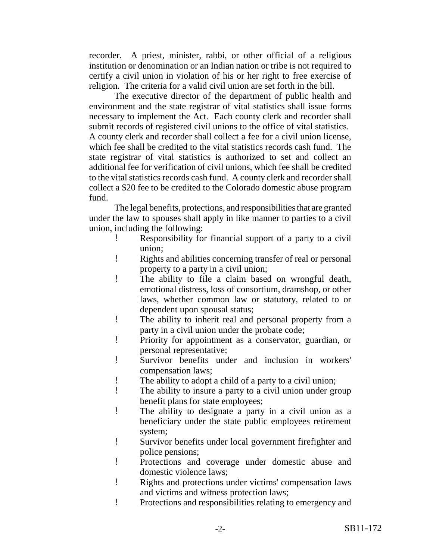recorder. A priest, minister, rabbi, or other official of a religious institution or denomination or an Indian nation or tribe is not required to certify a civil union in violation of his or her right to free exercise of religion. The criteria for a valid civil union are set forth in the bill.

The executive director of the department of public health and environment and the state registrar of vital statistics shall issue forms necessary to implement the Act. Each county clerk and recorder shall submit records of registered civil unions to the office of vital statistics. A county clerk and recorder shall collect a fee for a civil union license, which fee shall be credited to the vital statistics records cash fund. The state registrar of vital statistics is authorized to set and collect an additional fee for verification of civil unions, which fee shall be credited to the vital statistics records cash fund. A county clerk and recorder shall collect a \$20 fee to be credited to the Colorado domestic abuse program fund.

The legal benefits, protections, and responsibilities that are granted under the law to spouses shall apply in like manner to parties to a civil union, including the following:

- ! Responsibility for financial support of a party to a civil union;
- ! Rights and abilities concerning transfer of real or personal property to a party in a civil union;
- ! The ability to file a claim based on wrongful death, emotional distress, loss of consortium, dramshop, or other laws, whether common law or statutory, related to or dependent upon spousal status;
- ! The ability to inherit real and personal property from a party in a civil union under the probate code;
- ! Priority for appointment as a conservator, guardian, or personal representative;
- ! Survivor benefits under and inclusion in workers' compensation laws;
- ! The ability to adopt a child of a party to a civil union;
- ! The ability to insure a party to a civil union under group benefit plans for state employees;
- ! The ability to designate a party in a civil union as a beneficiary under the state public employees retirement system;
- ! Survivor benefits under local government firefighter and police pensions;
- ! Protections and coverage under domestic abuse and domestic violence laws;
- ! Rights and protections under victims' compensation laws and victims and witness protection laws;
- ! Protections and responsibilities relating to emergency and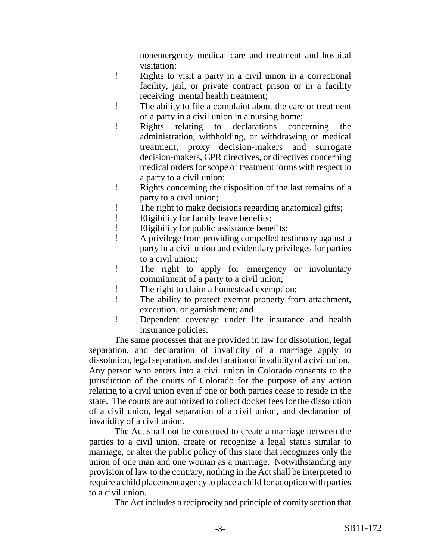nonemergency medical care and treatment and hospital visitation;

- ! Rights to visit a party in a civil union in a correctional facility, jail, or private contract prison or in a facility receiving mental health treatment;
- ! The ability to file a complaint about the care or treatment of a party in a civil union in a nursing home;
- ! Rights relating to declarations concerning the administration, withholding, or withdrawing of medical treatment, proxy decision-makers and surrogate decision-makers, CPR directives, or directives concerning medical orders for scope of treatment forms with respect to a party to a civil union;
- ! Rights concerning the disposition of the last remains of a party to a civil union;
- ! The right to make decisions regarding anatomical gifts;
- ! Eligibility for family leave benefits;
- ! Eligibility for public assistance benefits;
- ! A privilege from providing compelled testimony against a party in a civil union and evidentiary privileges for parties to a civil union;
- ! The right to apply for emergency or involuntary commitment of a party to a civil union;
- ! The right to claim a homestead exemption;
- ! The ability to protect exempt property from attachment, execution, or garnishment; and
- ! Dependent coverage under life insurance and health insurance policies.

The same processes that are provided in law for dissolution, legal separation, and declaration of invalidity of a marriage apply to dissolution, legal separation, and declaration of invalidity of a civil union. Any person who enters into a civil union in Colorado consents to the jurisdiction of the courts of Colorado for the purpose of any action relating to a civil union even if one or both parties cease to reside in the state. The courts are authorized to collect docket fees for the dissolution of a civil union, legal separation of a civil union, and declaration of invalidity of a civil union.

The Act shall not be construed to create a marriage between the parties to a civil union, create or recognize a legal status similar to marriage, or alter the public policy of this state that recognizes only the union of one man and one woman as a marriage. Notwithstanding any provision of law to the contrary, nothing in the Act shall be interpreted to require a child placement agency to place a child for adoption with parties to a civil union.

The Act includes a reciprocity and principle of comity section that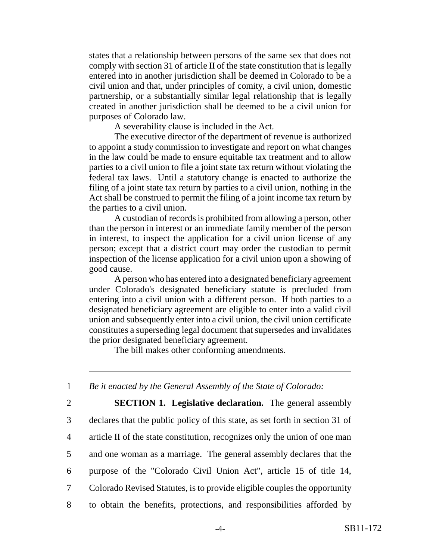states that a relationship between persons of the same sex that does not comply with section 31 of article II of the state constitution that is legally entered into in another jurisdiction shall be deemed in Colorado to be a civil union and that, under principles of comity, a civil union, domestic partnership, or a substantially similar legal relationship that is legally created in another jurisdiction shall be deemed to be a civil union for purposes of Colorado law.

A severability clause is included in the Act.

The executive director of the department of revenue is authorized to appoint a study commission to investigate and report on what changes in the law could be made to ensure equitable tax treatment and to allow parties to a civil union to file a joint state tax return without violating the federal tax laws. Until a statutory change is enacted to authorize the filing of a joint state tax return by parties to a civil union, nothing in the Act shall be construed to permit the filing of a joint income tax return by the parties to a civil union.

A custodian of records is prohibited from allowing a person, other than the person in interest or an immediate family member of the person in interest, to inspect the application for a civil union license of any person; except that a district court may order the custodian to permit inspection of the license application for a civil union upon a showing of good cause.

A person who has entered into a designated beneficiary agreement under Colorado's designated beneficiary statute is precluded from entering into a civil union with a different person. If both parties to a designated beneficiary agreement are eligible to enter into a valid civil union and subsequently enter into a civil union, the civil union certificate constitutes a superseding legal document that supersedes and invalidates the prior designated beneficiary agreement.

The bill makes other conforming amendments.

1 *Be it enacted by the General Assembly of the State of Colorado:*

 **SECTION 1. Legislative declaration.** The general assembly declares that the public policy of this state, as set forth in section 31 of article II of the state constitution, recognizes only the union of one man and one woman as a marriage. The general assembly declares that the purpose of the "Colorado Civil Union Act", article 15 of title 14, Colorado Revised Statutes, is to provide eligible couples the opportunity to obtain the benefits, protections, and responsibilities afforded by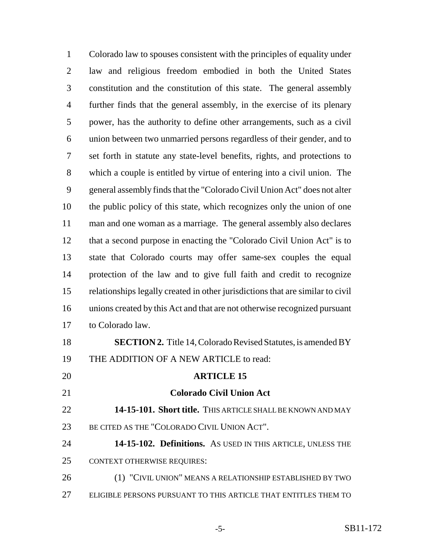Colorado law to spouses consistent with the principles of equality under law and religious freedom embodied in both the United States constitution and the constitution of this state. The general assembly further finds that the general assembly, in the exercise of its plenary power, has the authority to define other arrangements, such as a civil union between two unmarried persons regardless of their gender, and to set forth in statute any state-level benefits, rights, and protections to which a couple is entitled by virtue of entering into a civil union. The general assembly finds that the "Colorado Civil Union Act" does not alter the public policy of this state, which recognizes only the union of one man and one woman as a marriage. The general assembly also declares that a second purpose in enacting the "Colorado Civil Union Act" is to state that Colorado courts may offer same-sex couples the equal protection of the law and to give full faith and credit to recognize relationships legally created in other jurisdictions that are similar to civil unions created by this Act and that are not otherwise recognized pursuant to Colorado law. **SECTION 2.** Title 14, Colorado Revised Statutes, is amended BY THE ADDITION OF A NEW ARTICLE to read: **ARTICLE 15 Colorado Civil Union Act 14-15-101. Short title.** THIS ARTICLE SHALL BE KNOWN AND MAY BE CITED AS THE "COLORADO CIVIL UNION ACT". **14-15-102. Definitions.** AS USED IN THIS ARTICLE, UNLESS THE CONTEXT OTHERWISE REQUIRES:

26 (1) "CIVIL UNION" MEANS A RELATIONSHIP ESTABLISHED BY TWO ELIGIBLE PERSONS PURSUANT TO THIS ARTICLE THAT ENTITLES THEM TO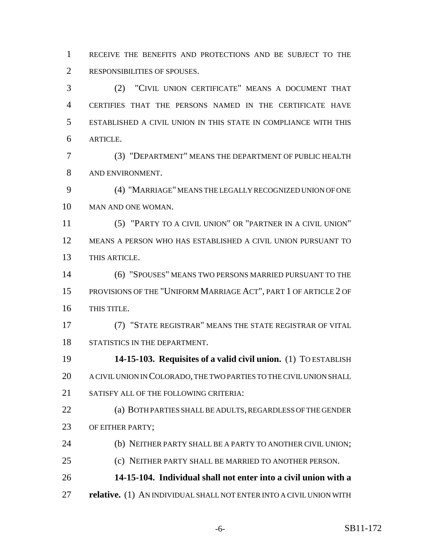RECEIVE THE BENEFITS AND PROTECTIONS AND BE SUBJECT TO THE RESPONSIBILITIES OF SPOUSES.

 (2) "CIVIL UNION CERTIFICATE" MEANS A DOCUMENT THAT CERTIFIES THAT THE PERSONS NAMED IN THE CERTIFICATE HAVE ESTABLISHED A CIVIL UNION IN THIS STATE IN COMPLIANCE WITH THIS ARTICLE.

 (3) "DEPARTMENT" MEANS THE DEPARTMENT OF PUBLIC HEALTH AND ENVIRONMENT.

 (4) "MARRIAGE" MEANS THE LEGALLY RECOGNIZED UNION OF ONE MAN AND ONE WOMAN.

 (5) "PARTY TO A CIVIL UNION" OR "PARTNER IN A CIVIL UNION" MEANS A PERSON WHO HAS ESTABLISHED A CIVIL UNION PURSUANT TO THIS ARTICLE.

 (6) "SPOUSES" MEANS TWO PERSONS MARRIED PURSUANT TO THE PROVISIONS OF THE "UNIFORM MARRIAGE ACT", PART 1 OF ARTICLE 2 OF THIS TITLE.

 (7) "STATE REGISTRAR" MEANS THE STATE REGISTRAR OF VITAL STATISTICS IN THE DEPARTMENT.

 **14-15-103. Requisites of a valid civil union.** (1) TO ESTABLISH A CIVIL UNION IN COLORADO, THE TWO PARTIES TO THE CIVIL UNION SHALL SATISFY ALL OF THE FOLLOWING CRITERIA:

 (a) BOTH PARTIES SHALL BE ADULTS, REGARDLESS OF THE GENDER 23 OF EITHER PARTY;

24 (b) NEITHER PARTY SHALL BE A PARTY TO ANOTHER CIVIL UNION;

(c) NEITHER PARTY SHALL BE MARRIED TO ANOTHER PERSON.

**14-15-104. Individual shall not enter into a civil union with a**

**relative.** (1) AN INDIVIDUAL SHALL NOT ENTER INTO A CIVIL UNION WITH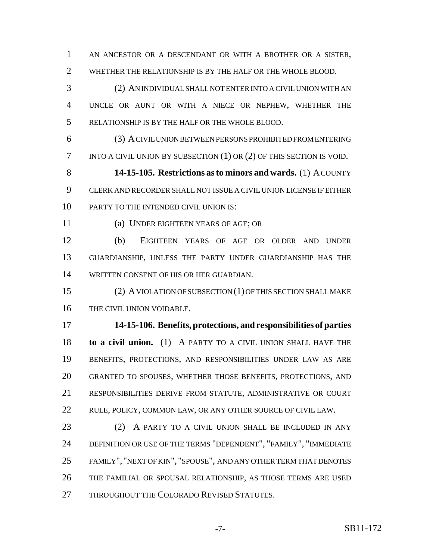AN ANCESTOR OR A DESCENDANT OR WITH A BROTHER OR A SISTER, WHETHER THE RELATIONSHIP IS BY THE HALF OR THE WHOLE BLOOD.

 (2) AN INDIVIDUAL SHALL NOT ENTER INTO A CIVIL UNION WITH AN UNCLE OR AUNT OR WITH A NIECE OR NEPHEW, WHETHER THE RELATIONSHIP IS BY THE HALF OR THE WHOLE BLOOD.

 (3) A CIVIL UNION BETWEEN PERSONS PROHIBITED FROM ENTERING INTO A CIVIL UNION BY SUBSECTION (1) OR (2) OF THIS SECTION IS VOID.

 **14-15-105. Restrictions as to minors and wards.** (1) A COUNTY CLERK AND RECORDER SHALL NOT ISSUE A CIVIL UNION LICENSE IF EITHER 10 PARTY TO THE INTENDED CIVIL UNION IS:

(a) UNDER EIGHTEEN YEARS OF AGE; OR

 (b) EIGHTEEN YEARS OF AGE OR OLDER AND UNDER GUARDIANSHIP, UNLESS THE PARTY UNDER GUARDIANSHIP HAS THE WRITTEN CONSENT OF HIS OR HER GUARDIAN.

 (2) A VIOLATION OF SUBSECTION (1) OF THIS SECTION SHALL MAKE THE CIVIL UNION VOIDABLE.

 **14-15-106. Benefits, protections, and responsibilities of parties to a civil union.** (1) A PARTY TO A CIVIL UNION SHALL HAVE THE BENEFITS, PROTECTIONS, AND RESPONSIBILITIES UNDER LAW AS ARE GRANTED TO SPOUSES, WHETHER THOSE BENEFITS, PROTECTIONS, AND RESPONSIBILITIES DERIVE FROM STATUTE, ADMINISTRATIVE OR COURT RULE, POLICY, COMMON LAW, OR ANY OTHER SOURCE OF CIVIL LAW.

 (2) A PARTY TO A CIVIL UNION SHALL BE INCLUDED IN ANY DEFINITION OR USE OF THE TERMS "DEPENDENT", "FAMILY", "IMMEDIATE FAMILY", "NEXT OF KIN", "SPOUSE", AND ANY OTHER TERM THAT DENOTES THE FAMILIAL OR SPOUSAL RELATIONSHIP, AS THOSE TERMS ARE USED 27 THROUGHOUT THE COLORADO REVISED STATUTES.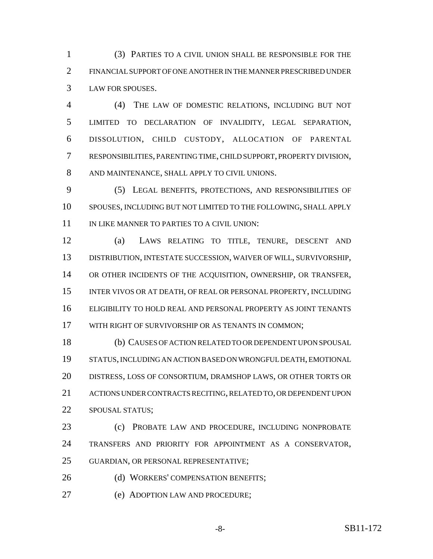(3) PARTIES TO A CIVIL UNION SHALL BE RESPONSIBLE FOR THE FINANCIAL SUPPORT OF ONE ANOTHER IN THE MANNER PRESCRIBED UNDER LAW FOR SPOUSES.

 (4) THE LAW OF DOMESTIC RELATIONS, INCLUDING BUT NOT LIMITED TO DECLARATION OF INVALIDITY, LEGAL SEPARATION, DISSOLUTION, CHILD CUSTODY, ALLOCATION OF PARENTAL RESPONSIBILITIES, PARENTING TIME, CHILD SUPPORT, PROPERTY DIVISION, AND MAINTENANCE, SHALL APPLY TO CIVIL UNIONS.

 (5) LEGAL BENEFITS, PROTECTIONS, AND RESPONSIBILITIES OF SPOUSES, INCLUDING BUT NOT LIMITED TO THE FOLLOWING, SHALL APPLY 11 IN LIKE MANNER TO PARTIES TO A CIVIL UNION:

 (a) LAWS RELATING TO TITLE, TENURE, DESCENT AND DISTRIBUTION, INTESTATE SUCCESSION, WAIVER OF WILL, SURVIVORSHIP, OR OTHER INCIDENTS OF THE ACQUISITION, OWNERSHIP, OR TRANSFER, INTER VIVOS OR AT DEATH, OF REAL OR PERSONAL PROPERTY, INCLUDING ELIGIBILITY TO HOLD REAL AND PERSONAL PROPERTY AS JOINT TENANTS WITH RIGHT OF SURVIVORSHIP OR AS TENANTS IN COMMON;

 (b) CAUSES OF ACTION RELATED TO OR DEPENDENT UPON SPOUSAL STATUS, INCLUDING AN ACTION BASED ON WRONGFUL DEATH, EMOTIONAL DISTRESS, LOSS OF CONSORTIUM, DRAMSHOP LAWS, OR OTHER TORTS OR ACTIONS UNDER CONTRACTS RECITING, RELATED TO, OR DEPENDENT UPON SPOUSAL STATUS;

 (c) PROBATE LAW AND PROCEDURE, INCLUDING NONPROBATE TRANSFERS AND PRIORITY FOR APPOINTMENT AS A CONSERVATOR, GUARDIAN, OR PERSONAL REPRESENTATIVE;

26 (d) WORKERS' COMPENSATION BENEFITS;

(e) ADOPTION LAW AND PROCEDURE;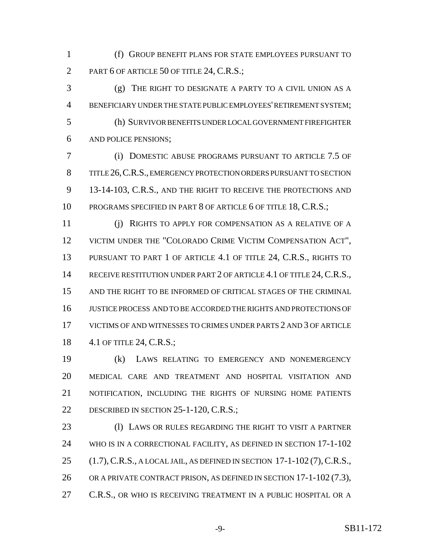(f) GROUP BENEFIT PLANS FOR STATE EMPLOYEES PURSUANT TO 2 PART 6 OF ARTICLE 50 OF TITLE 24, C.R.S.;

 (g) THE RIGHT TO DESIGNATE A PARTY TO A CIVIL UNION AS A BENEFICIARY UNDER THE STATE PUBLIC EMPLOYEES' RETIREMENT SYSTEM; (h) SURVIVOR BENEFITS UNDER LOCAL GOVERNMENT FIREFIGHTER AND POLICE PENSIONS;

 (i) DOMESTIC ABUSE PROGRAMS PURSUANT TO ARTICLE 7.5 OF TITLE 26,C.R.S., EMERGENCY PROTECTION ORDERS PURSUANT TO SECTION 13-14-103, C.R.S., AND THE RIGHT TO RECEIVE THE PROTECTIONS AND 10 PROGRAMS SPECIFIED IN PART 8 OF ARTICLE 6 OF TITLE 18, C.R.S.;

 (j) RIGHTS TO APPLY FOR COMPENSATION AS A RELATIVE OF A VICTIM UNDER THE "COLORADO CRIME VICTIM COMPENSATION ACT", 13 PURSUANT TO PART 1 OF ARTICLE 4.1 OF TITLE 24, C.R.S., RIGHTS TO 14 RECEIVE RESTITUTION UNDER PART 2 OF ARTICLE 4.1 OF TITLE 24, C.R.S., AND THE RIGHT TO BE INFORMED OF CRITICAL STAGES OF THE CRIMINAL JUSTICE PROCESS AND TO BE ACCORDED THE RIGHTS AND PROTECTIONS OF VICTIMS OF AND WITNESSES TO CRIMES UNDER PARTS 2 AND 3 OF ARTICLE 4.1 OF TITLE 24, C.R.S.;

 (k) LAWS RELATING TO EMERGENCY AND NONEMERGENCY MEDICAL CARE AND TREATMENT AND HOSPITAL VISITATION AND NOTIFICATION, INCLUDING THE RIGHTS OF NURSING HOME PATIENTS 22 DESCRIBED IN SECTION 25-1-120, C.R.S.;

 (l) LAWS OR RULES REGARDING THE RIGHT TO VISIT A PARTNER WHO IS IN A CORRECTIONAL FACILITY, AS DEFINED IN SECTION 17-1-102 (1.7),C.R.S., A LOCAL JAIL, AS DEFINED IN SECTION 17-1-102 (7),C.R.S., OR A PRIVATE CONTRACT PRISON, AS DEFINED IN SECTION 17-1-102 (7.3), 27 C.R.S., OR WHO IS RECEIVING TREATMENT IN A PUBLIC HOSPITAL OR A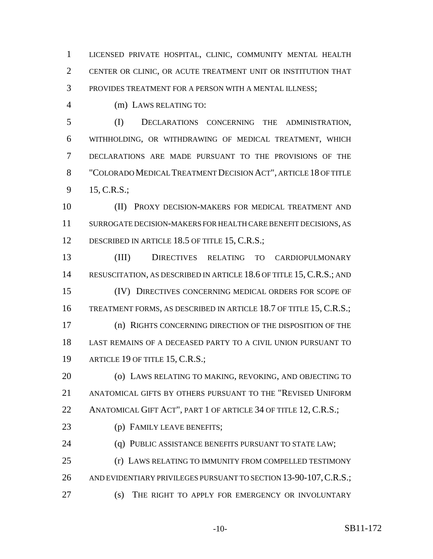LICENSED PRIVATE HOSPITAL, CLINIC, COMMUNITY MENTAL HEALTH CENTER OR CLINIC, OR ACUTE TREATMENT UNIT OR INSTITUTION THAT PROVIDES TREATMENT FOR A PERSON WITH A MENTAL ILLNESS;

4 (m) LAWS RELATING TO:

 (I) DECLARATIONS CONCERNING THE ADMINISTRATION, WITHHOLDING, OR WITHDRAWING OF MEDICAL TREATMENT, WHICH DECLARATIONS ARE MADE PURSUANT TO THE PROVISIONS OF THE "COLORADO MEDICAL TREATMENT DECISION ACT", ARTICLE 18 OF TITLE 15, C.R.S.;

 (II) PROXY DECISION-MAKERS FOR MEDICAL TREATMENT AND SURROGATE DECISION-MAKERS FOR HEALTH CARE BENEFIT DECISIONS, AS 12 DESCRIBED IN ARTICLE 18.5 OF TITLE 15, C.R.S.;

 (III) DIRECTIVES RELATING TO CARDIOPULMONARY 14 RESUSCITATION, AS DESCRIBED IN ARTICLE 18.6 OF TITLE 15, C.R.S.; AND (IV) DIRECTIVES CONCERNING MEDICAL ORDERS FOR SCOPE OF TREATMENT FORMS, AS DESCRIBED IN ARTICLE 18.7 OF TITLE 15, C.R.S.; (n) RIGHTS CONCERNING DIRECTION OF THE DISPOSITION OF THE LAST REMAINS OF A DECEASED PARTY TO A CIVIL UNION PURSUANT TO 19 ARTICLE 19 OF TITLE 15, C.R.S.;

 (o) LAWS RELATING TO MAKING, REVOKING, AND OBJECTING TO ANATOMICAL GIFTS BY OTHERS PURSUANT TO THE "REVISED UNIFORM 22 ANATOMICAL GIFT ACT", PART 1 OF ARTICLE 34 OF TITLE 12, C.R.S.;

(p) FAMILY LEAVE BENEFITS;

24 (q) PUBLIC ASSISTANCE BENEFITS PURSUANT TO STATE LAW;

 (r) LAWS RELATING TO IMMUNITY FROM COMPELLED TESTIMONY 26 AND EVIDENTIARY PRIVILEGES PURSUANT TO SECTION 13-90-107, C.R.S.;

(s) THE RIGHT TO APPLY FOR EMERGENCY OR INVOLUNTARY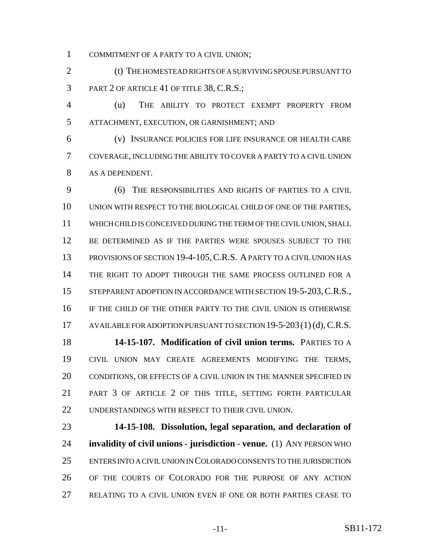COMMITMENT OF A PARTY TO A CIVIL UNION;

2 (t) THE HOMESTEAD RIGHTS OF A SURVIVING SPOUSE PURSUANT TO PART 2 OF ARTICLE 41 OF TITLE 38, C.R.S.;

 (u) THE ABILITY TO PROTECT EXEMPT PROPERTY FROM ATTACHMENT, EXECUTION, OR GARNISHMENT; AND

 (v) INSURANCE POLICIES FOR LIFE INSURANCE OR HEALTH CARE COVERAGE, INCLUDING THE ABILITY TO COVER A PARTY TO A CIVIL UNION AS A DEPENDENT.

 (6) THE RESPONSIBILITIES AND RIGHTS OF PARTIES TO A CIVIL UNION WITH RESPECT TO THE BIOLOGICAL CHILD OF ONE OF THE PARTIES, WHICH CHILD IS CONCEIVED DURING THE TERM OF THE CIVIL UNION, SHALL BE DETERMINED AS IF THE PARTIES WERE SPOUSES SUBJECT TO THE 13 PROVISIONS OF SECTION 19-4-105, C.R.S. A PARTY TO A CIVIL UNION HAS THE RIGHT TO ADOPT THROUGH THE SAME PROCESS OUTLINED FOR A 15 STEPPARENT ADOPTION IN ACCORDANCE WITH SECTION 19-5-203, C.R.S., IF THE CHILD OF THE OTHER PARTY TO THE CIVIL UNION IS OTHERWISE 17 AVAILABLE FOR ADOPTION PURSUANT TO SECTION 19-5-203(1)(d), C.R.S. **14-15-107. Modification of civil union terms.** PARTIES TO A

 CIVIL UNION MAY CREATE AGREEMENTS MODIFYING THE TERMS, CONDITIONS, OR EFFECTS OF A CIVIL UNION IN THE MANNER SPECIFIED IN PART 3 OF ARTICLE 2 OF THIS TITLE, SETTING FORTH PARTICULAR UNDERSTANDINGS WITH RESPECT TO THEIR CIVIL UNION.

 **14-15-108. Dissolution, legal separation, and declaration of invalidity of civil unions - jurisdiction - venue.** (1) ANY PERSON WHO ENTERS INTO A CIVIL UNION IN COLORADO CONSENTS TO THE JURISDICTION OF THE COURTS OF COLORADO FOR THE PURPOSE OF ANY ACTION RELATING TO A CIVIL UNION EVEN IF ONE OR BOTH PARTIES CEASE TO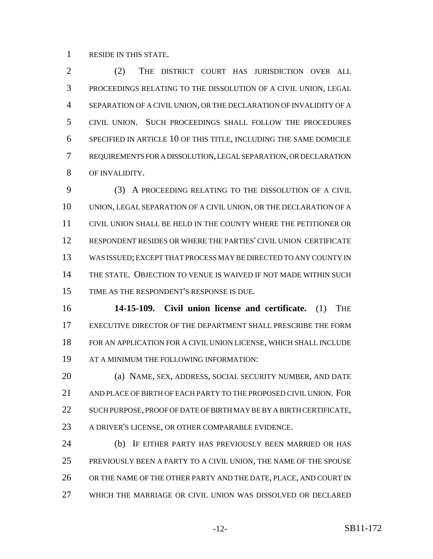RESIDE IN THIS STATE.

 (2) THE DISTRICT COURT HAS JURISDICTION OVER ALL PROCEEDINGS RELATING TO THE DISSOLUTION OF A CIVIL UNION, LEGAL SEPARATION OF A CIVIL UNION, OR THE DECLARATION OF INVALIDITY OF A CIVIL UNION. SUCH PROCEEDINGS SHALL FOLLOW THE PROCEDURES SPECIFIED IN ARTICLE 10 OF THIS TITLE, INCLUDING THE SAME DOMICILE REQUIREMENTS FOR A DISSOLUTION, LEGAL SEPARATION, OR DECLARATION OF INVALIDITY.

 (3) A PROCEEDING RELATING TO THE DISSOLUTION OF A CIVIL UNION, LEGAL SEPARATION OF A CIVIL UNION, OR THE DECLARATION OF A CIVIL UNION SHALL BE HELD IN THE COUNTY WHERE THE PETITIONER OR RESPONDENT RESIDES OR WHERE THE PARTIES' CIVIL UNION CERTIFICATE WAS ISSUED; EXCEPT THAT PROCESS MAY BE DIRECTED TO ANY COUNTY IN THE STATE. OBJECTION TO VENUE IS WAIVED IF NOT MADE WITHIN SUCH TIME AS THE RESPONDENT'S RESPONSE IS DUE.

 **14-15-109. Civil union license and certificate.** (1) THE EXECUTIVE DIRECTOR OF THE DEPARTMENT SHALL PRESCRIBE THE FORM FOR AN APPLICATION FOR A CIVIL UNION LICENSE, WHICH SHALL INCLUDE AT A MINIMUM THE FOLLOWING INFORMATION:

 (a) NAME, SEX, ADDRESS, SOCIAL SECURITY NUMBER, AND DATE AND PLACE OF BIRTH OF EACH PARTY TO THE PROPOSED CIVIL UNION. FOR 22 SUCH PURPOSE, PROOF OF DATE OF BIRTH MAY BE BY A BIRTH CERTIFICATE, A DRIVER'S LICENSE, OR OTHER COMPARABLE EVIDENCE.

 (b) IF EITHER PARTY HAS PREVIOUSLY BEEN MARRIED OR HAS PREVIOUSLY BEEN A PARTY TO A CIVIL UNION, THE NAME OF THE SPOUSE 26 OR THE NAME OF THE OTHER PARTY AND THE DATE, PLACE, AND COURT IN WHICH THE MARRIAGE OR CIVIL UNION WAS DISSOLVED OR DECLARED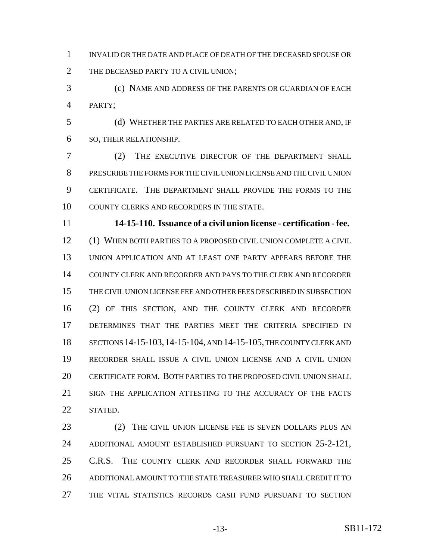INVALID OR THE DATE AND PLACE OF DEATH OF THE DECEASED SPOUSE OR 2 THE DECEASED PARTY TO A CIVIL UNION;

 (c) NAME AND ADDRESS OF THE PARENTS OR GUARDIAN OF EACH PARTY;

 (d) WHETHER THE PARTIES ARE RELATED TO EACH OTHER AND, IF SO, THEIR RELATIONSHIP.

 (2) THE EXECUTIVE DIRECTOR OF THE DEPARTMENT SHALL PRESCRIBE THE FORMS FOR THE CIVIL UNION LICENSE AND THE CIVIL UNION CERTIFICATE. THE DEPARTMENT SHALL PROVIDE THE FORMS TO THE COUNTY CLERKS AND RECORDERS IN THE STATE.

 **14-15-110. Issuance of a civil union license - certification - fee.** (1) WHEN BOTH PARTIES TO A PROPOSED CIVIL UNION COMPLETE A CIVIL UNION APPLICATION AND AT LEAST ONE PARTY APPEARS BEFORE THE COUNTY CLERK AND RECORDER AND PAYS TO THE CLERK AND RECORDER THE CIVIL UNION LICENSE FEE AND OTHER FEES DESCRIBED IN SUBSECTION (2) OF THIS SECTION, AND THE COUNTY CLERK AND RECORDER DETERMINES THAT THE PARTIES MEET THE CRITERIA SPECIFIED IN SECTIONS 14-15-103,14-15-104, AND 14-15-105, THE COUNTY CLERK AND RECORDER SHALL ISSUE A CIVIL UNION LICENSE AND A CIVIL UNION CERTIFICATE FORM. BOTH PARTIES TO THE PROPOSED CIVIL UNION SHALL SIGN THE APPLICATION ATTESTING TO THE ACCURACY OF THE FACTS STATED.

 (2) THE CIVIL UNION LICENSE FEE IS SEVEN DOLLARS PLUS AN ADDITIONAL AMOUNT ESTABLISHED PURSUANT TO SECTION 25-2-121, C.R.S. THE COUNTY CLERK AND RECORDER SHALL FORWARD THE ADDITIONAL AMOUNT TO THE STATE TREASURER WHO SHALL CREDIT IT TO THE VITAL STATISTICS RECORDS CASH FUND PURSUANT TO SECTION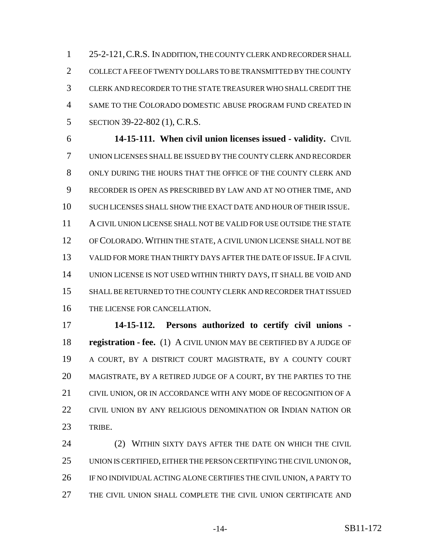25-2-121,C.R.S. IN ADDITION, THE COUNTY CLERK AND RECORDER SHALL COLLECT A FEE OF TWENTY DOLLARS TO BE TRANSMITTED BY THE COUNTY CLERK AND RECORDER TO THE STATE TREASURER WHO SHALL CREDIT THE SAME TO THE COLORADO DOMESTIC ABUSE PROGRAM FUND CREATED IN SECTION 39-22-802 (1), C.R.S.

 **14-15-111. When civil union licenses issued - validity.** CIVIL UNION LICENSES SHALL BE ISSUED BY THE COUNTY CLERK AND RECORDER ONLY DURING THE HOURS THAT THE OFFICE OF THE COUNTY CLERK AND RECORDER IS OPEN AS PRESCRIBED BY LAW AND AT NO OTHER TIME, AND SUCH LICENSES SHALL SHOW THE EXACT DATE AND HOUR OF THEIR ISSUE. A CIVIL UNION LICENSE SHALL NOT BE VALID FOR USE OUTSIDE THE STATE OF COLORADO. WITHIN THE STATE, A CIVIL UNION LICENSE SHALL NOT BE VALID FOR MORE THAN THIRTY DAYS AFTER THE DATE OF ISSUE.IF A CIVIL UNION LICENSE IS NOT USED WITHIN THIRTY DAYS, IT SHALL BE VOID AND SHALL BE RETURNED TO THE COUNTY CLERK AND RECORDER THAT ISSUED THE LICENSE FOR CANCELLATION.

 **14-15-112. Persons authorized to certify civil unions - registration - fee.** (1) A CIVIL UNION MAY BE CERTIFIED BY A JUDGE OF A COURT, BY A DISTRICT COURT MAGISTRATE, BY A COUNTY COURT MAGISTRATE, BY A RETIRED JUDGE OF A COURT, BY THE PARTIES TO THE CIVIL UNION, OR IN ACCORDANCE WITH ANY MODE OF RECOGNITION OF A CIVIL UNION BY ANY RELIGIOUS DENOMINATION OR INDIAN NATION OR TRIBE.

 (2) WITHIN SIXTY DAYS AFTER THE DATE ON WHICH THE CIVIL UNION IS CERTIFIED, EITHER THE PERSON CERTIFYING THE CIVIL UNION OR, IF NO INDIVIDUAL ACTING ALONE CERTIFIES THE CIVIL UNION, A PARTY TO THE CIVIL UNION SHALL COMPLETE THE CIVIL UNION CERTIFICATE AND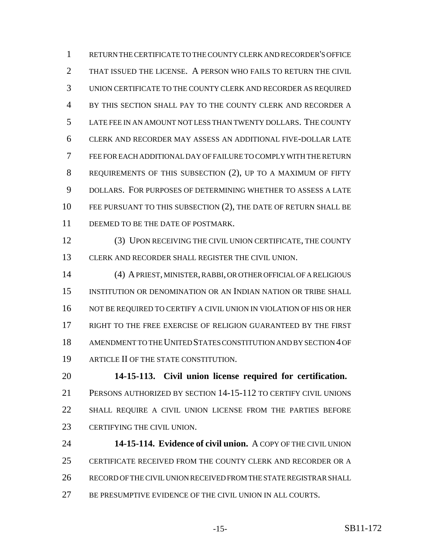RETURN THE CERTIFICATE TO THE COUNTY CLERK AND RECORDER'S OFFICE THAT ISSUED THE LICENSE. A PERSON WHO FAILS TO RETURN THE CIVIL UNION CERTIFICATE TO THE COUNTY CLERK AND RECORDER AS REQUIRED BY THIS SECTION SHALL PAY TO THE COUNTY CLERK AND RECORDER A LATE FEE IN AN AMOUNT NOT LESS THAN TWENTY DOLLARS. THE COUNTY CLERK AND RECORDER MAY ASSESS AN ADDITIONAL FIVE-DOLLAR LATE FEE FOR EACH ADDITIONAL DAY OF FAILURE TO COMPLY WITH THE RETURN REQUIREMENTS OF THIS SUBSECTION (2), UP TO A MAXIMUM OF FIFTY DOLLARS. FOR PURPOSES OF DETERMINING WHETHER TO ASSESS A LATE 10 FEE PURSUANT TO THIS SUBSECTION (2), THE DATE OF RETURN SHALL BE 11 DEEMED TO BE THE DATE OF POSTMARK.

 (3) UPON RECEIVING THE CIVIL UNION CERTIFICATE, THE COUNTY CLERK AND RECORDER SHALL REGISTER THE CIVIL UNION.

 (4) A PRIEST, MINISTER, RABBI, OR OTHER OFFICIAL OF A RELIGIOUS INSTITUTION OR DENOMINATION OR AN INDIAN NATION OR TRIBE SHALL NOT BE REQUIRED TO CERTIFY A CIVIL UNION IN VIOLATION OF HIS OR HER RIGHT TO THE FREE EXERCISE OF RELIGION GUARANTEED BY THE FIRST AMENDMENT TO THE UNITED STATES CONSTITUTION AND BY SECTION 4 OF ARTICLE II OF THE STATE CONSTITUTION.

 **14-15-113. Civil union license required for certification.** PERSONS AUTHORIZED BY SECTION 14-15-112 TO CERTIFY CIVIL UNIONS SHALL REQUIRE A CIVIL UNION LICENSE FROM THE PARTIES BEFORE CERTIFYING THE CIVIL UNION.

 **14-15-114. Evidence of civil union.** A COPY OF THE CIVIL UNION CERTIFICATE RECEIVED FROM THE COUNTY CLERK AND RECORDER OR A RECORD OF THE CIVIL UNION RECEIVED FROM THE STATE REGISTRAR SHALL BE PRESUMPTIVE EVIDENCE OF THE CIVIL UNION IN ALL COURTS.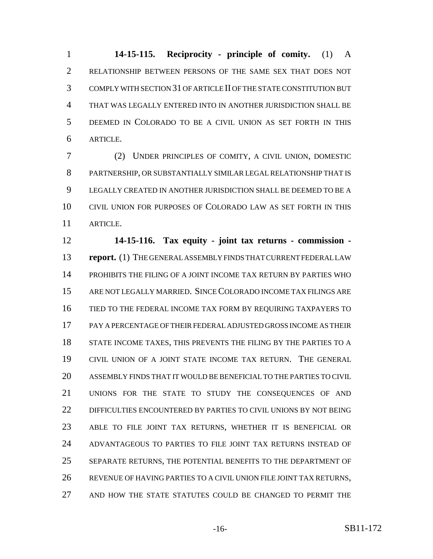**14-15-115. Reciprocity - principle of comity.** (1) A RELATIONSHIP BETWEEN PERSONS OF THE SAME SEX THAT DOES NOT COMPLY WITH SECTION 31 OF ARTICLE II OF THE STATE CONSTITUTION BUT THAT WAS LEGALLY ENTERED INTO IN ANOTHER JURISDICTION SHALL BE DEEMED IN COLORADO TO BE A CIVIL UNION AS SET FORTH IN THIS ARTICLE.

 (2) UNDER PRINCIPLES OF COMITY, A CIVIL UNION, DOMESTIC PARTNERSHIP, OR SUBSTANTIALLY SIMILAR LEGAL RELATIONSHIP THAT IS LEGALLY CREATED IN ANOTHER JURISDICTION SHALL BE DEEMED TO BE A CIVIL UNION FOR PURPOSES OF COLORADO LAW AS SET FORTH IN THIS ARTICLE.

 **14-15-116. Tax equity - joint tax returns - commission - report.** (1) THE GENERAL ASSEMBLY FINDS THAT CURRENT FEDERAL LAW PROHIBITS THE FILING OF A JOINT INCOME TAX RETURN BY PARTIES WHO ARE NOT LEGALLY MARRIED. SINCE COLORADO INCOME TAX FILINGS ARE TIED TO THE FEDERAL INCOME TAX FORM BY REQUIRING TAXPAYERS TO PAY A PERCENTAGE OF THEIR FEDERAL ADJUSTED GROSS INCOME AS THEIR 18 STATE INCOME TAXES, THIS PREVENTS THE FILING BY THE PARTIES TO A CIVIL UNION OF A JOINT STATE INCOME TAX RETURN. THE GENERAL ASSEMBLY FINDS THAT IT WOULD BE BENEFICIAL TO THE PARTIES TO CIVIL UNIONS FOR THE STATE TO STUDY THE CONSEQUENCES OF AND DIFFICULTIES ENCOUNTERED BY PARTIES TO CIVIL UNIONS BY NOT BEING ABLE TO FILE JOINT TAX RETURNS, WHETHER IT IS BENEFICIAL OR ADVANTAGEOUS TO PARTIES TO FILE JOINT TAX RETURNS INSTEAD OF SEPARATE RETURNS, THE POTENTIAL BENEFITS TO THE DEPARTMENT OF REVENUE OF HAVING PARTIES TO A CIVIL UNION FILE JOINT TAX RETURNS, AND HOW THE STATE STATUTES COULD BE CHANGED TO PERMIT THE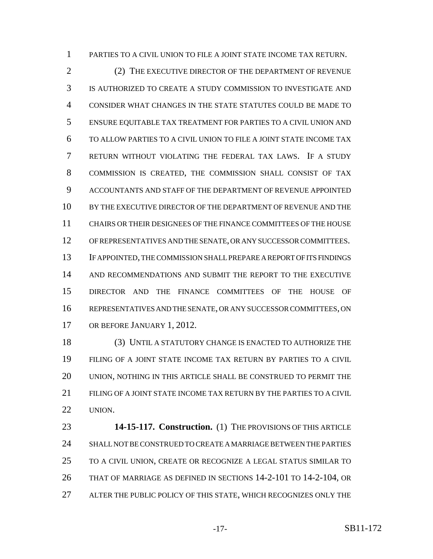PARTIES TO A CIVIL UNION TO FILE A JOINT STATE INCOME TAX RETURN.

2 (2) THE EXECUTIVE DIRECTOR OF THE DEPARTMENT OF REVENUE IS AUTHORIZED TO CREATE A STUDY COMMISSION TO INVESTIGATE AND CONSIDER WHAT CHANGES IN THE STATE STATUTES COULD BE MADE TO ENSURE EQUITABLE TAX TREATMENT FOR PARTIES TO A CIVIL UNION AND TO ALLOW PARTIES TO A CIVIL UNION TO FILE A JOINT STATE INCOME TAX RETURN WITHOUT VIOLATING THE FEDERAL TAX LAWS. IF A STUDY COMMISSION IS CREATED, THE COMMISSION SHALL CONSIST OF TAX ACCOUNTANTS AND STAFF OF THE DEPARTMENT OF REVENUE APPOINTED BY THE EXECUTIVE DIRECTOR OF THE DEPARTMENT OF REVENUE AND THE CHAIRS OR THEIR DESIGNEES OF THE FINANCE COMMITTEES OF THE HOUSE OF REPRESENTATIVES AND THE SENATE, OR ANY SUCCESSOR COMMITTEES. IF APPOINTED, THE COMMISSION SHALL PREPARE A REPORT OF ITS FINDINGS AND RECOMMENDATIONS AND SUBMIT THE REPORT TO THE EXECUTIVE DIRECTOR AND THE FINANCE COMMITTEES OF THE HOUSE OF REPRESENTATIVES AND THE SENATE, OR ANY SUCCESSOR COMMITTEES, ON OR BEFORE JANUARY 1, 2012.

 (3) UNTIL A STATUTORY CHANGE IS ENACTED TO AUTHORIZE THE FILING OF A JOINT STATE INCOME TAX RETURN BY PARTIES TO A CIVIL UNION, NOTHING IN THIS ARTICLE SHALL BE CONSTRUED TO PERMIT THE FILING OF A JOINT STATE INCOME TAX RETURN BY THE PARTIES TO A CIVIL UNION.

 **14-15-117. Construction.** (1) THE PROVISIONS OF THIS ARTICLE SHALL NOT BE CONSTRUED TO CREATE A MARRIAGE BETWEEN THE PARTIES TO A CIVIL UNION, CREATE OR RECOGNIZE A LEGAL STATUS SIMILAR TO THAT OF MARRIAGE AS DEFINED IN SECTIONS 14-2-101 TO 14-2-104, OR ALTER THE PUBLIC POLICY OF THIS STATE, WHICH RECOGNIZES ONLY THE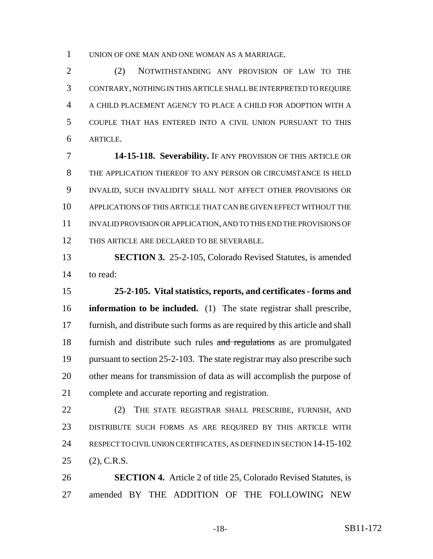UNION OF ONE MAN AND ONE WOMAN AS A MARRIAGE.

 (2) NOTWITHSTANDING ANY PROVISION OF LAW TO THE CONTRARY, NOTHING IN THIS ARTICLE SHALL BE INTERPRETED TO REQUIRE A CHILD PLACEMENT AGENCY TO PLACE A CHILD FOR ADOPTION WITH A COUPLE THAT HAS ENTERED INTO A CIVIL UNION PURSUANT TO THIS ARTICLE.

 **14-15-118. Severability.** IF ANY PROVISION OF THIS ARTICLE OR THE APPLICATION THEREOF TO ANY PERSON OR CIRCUMSTANCE IS HELD INVALID, SUCH INVALIDITY SHALL NOT AFFECT OTHER PROVISIONS OR APPLICATIONS OF THIS ARTICLE THAT CAN BE GIVEN EFFECT WITHOUT THE INVALID PROVISION OR APPLICATION, AND TO THIS END THE PROVISIONS OF THIS ARTICLE ARE DECLARED TO BE SEVERABLE.

 **SECTION 3.** 25-2-105, Colorado Revised Statutes, is amended to read:

 **25-2-105. Vital statistics, reports, and certificates - forms and information to be included.** (1) The state registrar shall prescribe, furnish, and distribute such forms as are required by this article and shall 18 furnish and distribute such rules and regulations as are promulgated pursuant to section 25-2-103. The state registrar may also prescribe such other means for transmission of data as will accomplish the purpose of complete and accurate reporting and registration.

22 (2) THE STATE REGISTRAR SHALL PRESCRIBE, FURNISH, AND DISTRIBUTE SUCH FORMS AS ARE REQUIRED BY THIS ARTICLE WITH RESPECT TO CIVIL UNION CERTIFICATES, AS DEFINED IN SECTION 14-15-102 (2), C.R.S.

 **SECTION 4.** Article 2 of title 25, Colorado Revised Statutes, is amended BY THE ADDITION OF THE FOLLOWING NEW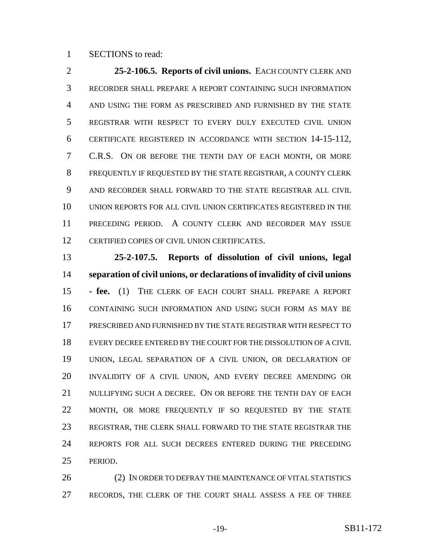#### SECTIONS to read:

 **25-2-106.5. Reports of civil unions.** EACH COUNTY CLERK AND RECORDER SHALL PREPARE A REPORT CONTAINING SUCH INFORMATION AND USING THE FORM AS PRESCRIBED AND FURNISHED BY THE STATE REGISTRAR WITH RESPECT TO EVERY DULY EXECUTED CIVIL UNION CERTIFICATE REGISTERED IN ACCORDANCE WITH SECTION 14-15-112, C.R.S. ON OR BEFORE THE TENTH DAY OF EACH MONTH, OR MORE FREQUENTLY IF REQUESTED BY THE STATE REGISTRAR, A COUNTY CLERK AND RECORDER SHALL FORWARD TO THE STATE REGISTRAR ALL CIVIL UNION REPORTS FOR ALL CIVIL UNION CERTIFICATES REGISTERED IN THE PRECEDING PERIOD. A COUNTY CLERK AND RECORDER MAY ISSUE CERTIFIED COPIES OF CIVIL UNION CERTIFICATES.

 **25-2-107.5. Reports of dissolution of civil unions, legal separation of civil unions, or declarations of invalidity of civil unions - fee.** (1) THE CLERK OF EACH COURT SHALL PREPARE A REPORT CONTAINING SUCH INFORMATION AND USING SUCH FORM AS MAY BE PRESCRIBED AND FURNISHED BY THE STATE REGISTRAR WITH RESPECT TO EVERY DECREE ENTERED BY THE COURT FOR THE DISSOLUTION OF A CIVIL UNION, LEGAL SEPARATION OF A CIVIL UNION, OR DECLARATION OF INVALIDITY OF A CIVIL UNION, AND EVERY DECREE AMENDING OR NULLIFYING SUCH A DECREE. ON OR BEFORE THE TENTH DAY OF EACH MONTH, OR MORE FREQUENTLY IF SO REQUESTED BY THE STATE REGISTRAR, THE CLERK SHALL FORWARD TO THE STATE REGISTRAR THE REPORTS FOR ALL SUCH DECREES ENTERED DURING THE PRECEDING PERIOD.

26 (2) IN ORDER TO DEFRAY THE MAINTENANCE OF VITAL STATISTICS RECORDS, THE CLERK OF THE COURT SHALL ASSESS A FEE OF THREE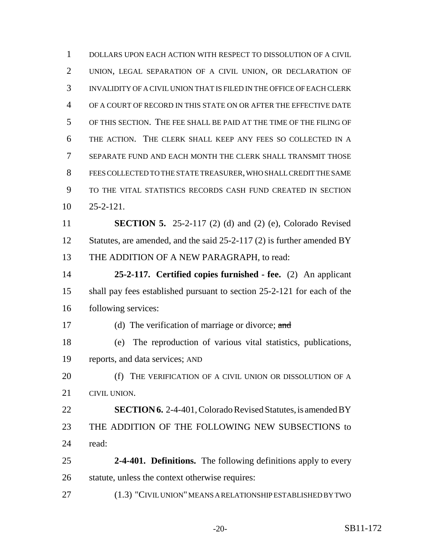DOLLARS UPON EACH ACTION WITH RESPECT TO DISSOLUTION OF A CIVIL UNION, LEGAL SEPARATION OF A CIVIL UNION, OR DECLARATION OF INVALIDITY OF A CIVIL UNION THAT IS FILED IN THE OFFICE OF EACH CLERK OF A COURT OF RECORD IN THIS STATE ON OR AFTER THE EFFECTIVE DATE OF THIS SECTION. THE FEE SHALL BE PAID AT THE TIME OF THE FILING OF THE ACTION. THE CLERK SHALL KEEP ANY FEES SO COLLECTED IN A SEPARATE FUND AND EACH MONTH THE CLERK SHALL TRANSMIT THOSE FEES COLLECTED TO THE STATE TREASURER, WHO SHALL CREDIT THE SAME TO THE VITAL STATISTICS RECORDS CASH FUND CREATED IN SECTION 25-2-121. **SECTION 5.** 25-2-117 (2) (d) and (2) (e), Colorado Revised 12 Statutes, are amended, and the said 25-2-117 (2) is further amended BY THE ADDITION OF A NEW PARAGRAPH, to read: **25-2-117. Certified copies furnished - fee.** (2) An applicant shall pay fees established pursuant to section 25-2-121 for each of the following services: 17 (d) The verification of marriage or divorce; and (e) The reproduction of various vital statistics, publications, reports, and data services; AND (f) THE VERIFICATION OF A CIVIL UNION OR DISSOLUTION OF A CIVIL UNION. **SECTION 6.** 2-4-401, Colorado Revised Statutes, is amended BY THE ADDITION OF THE FOLLOWING NEW SUBSECTIONS to read: **2-4-401. Definitions.** The following definitions apply to every statute, unless the context otherwise requires: (1.3) "CIVIL UNION" MEANS A RELATIONSHIP ESTABLISHED BY TWO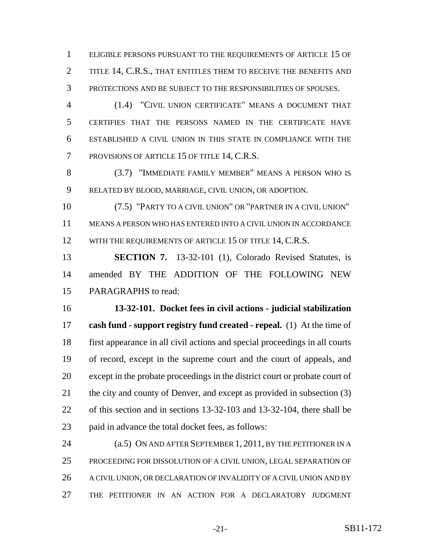ELIGIBLE PERSONS PURSUANT TO THE REQUIREMENTS OF ARTICLE 15 OF 2 TITLE 14, C.R.S., THAT ENTITLES THEM TO RECEIVE THE BENEFITS AND PROTECTIONS AND BE SUBJECT TO THE RESPONSIBILITIES OF SPOUSES.

 (1.4) "CIVIL UNION CERTIFICATE" MEANS A DOCUMENT THAT CERTIFIES THAT THE PERSONS NAMED IN THE CERTIFICATE HAVE ESTABLISHED A CIVIL UNION IN THIS STATE IN COMPLIANCE WITH THE PROVISIONS OF ARTICLE 15 OF TITLE 14, C.R.S.

 (3.7) "IMMEDIATE FAMILY MEMBER" MEANS A PERSON WHO IS RELATED BY BLOOD, MARRIAGE, CIVIL UNION, OR ADOPTION.

 (7.5) "PARTY TO A CIVIL UNION" OR "PARTNER IN A CIVIL UNION" MEANS A PERSON WHO HAS ENTERED INTO A CIVIL UNION IN ACCORDANCE 12 WITH THE REQUIREMENTS OF ARTICLE 15 OF TITLE 14, C.R.S.

 **SECTION 7.** 13-32-101 (1), Colorado Revised Statutes, is amended BY THE ADDITION OF THE FOLLOWING NEW PARAGRAPHS to read:

 **13-32-101. Docket fees in civil actions - judicial stabilization cash fund - support registry fund created - repeal.** (1) At the time of first appearance in all civil actions and special proceedings in all courts of record, except in the supreme court and the court of appeals, and except in the probate proceedings in the district court or probate court of 21 the city and county of Denver, and except as provided in subsection (3) of this section and in sections 13-32-103 and 13-32-104, there shall be paid in advance the total docket fees, as follows:

24 (a.5) ON AND AFTER SEPTEMBER 1, 2011, BY THE PETITIONER IN A PROCEEDING FOR DISSOLUTION OF A CIVIL UNION, LEGAL SEPARATION OF 26 A CIVIL UNION, OR DECLARATION OF INVALIDITY OF A CIVIL UNION AND BY THE PETITIONER IN AN ACTION FOR A DECLARATORY JUDGMENT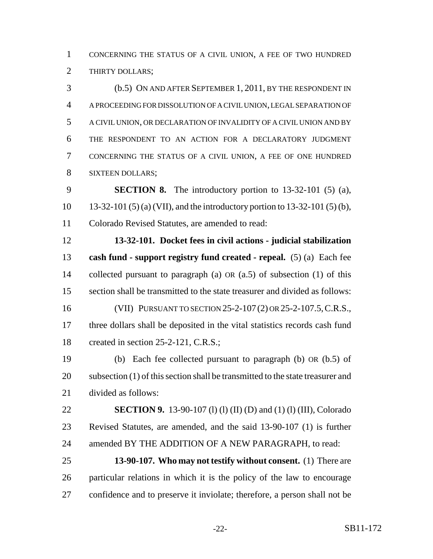CONCERNING THE STATUS OF A CIVIL UNION, A FEE OF TWO HUNDRED 2 THIRTY DOLLARS;

 (b.5) ON AND AFTER SEPTEMBER 1, 2011, BY THE RESPONDENT IN A PROCEEDING FOR DISSOLUTION OF A CIVIL UNION, LEGAL SEPARATION OF A CIVIL UNION, OR DECLARATION OF INVALIDITY OF A CIVIL UNION AND BY THE RESPONDENT TO AN ACTION FOR A DECLARATORY JUDGMENT CONCERNING THE STATUS OF A CIVIL UNION, A FEE OF ONE HUNDRED SIXTEEN DOLLARS;

 **SECTION 8.** The introductory portion to 13-32-101 (5) (a), 13-32-101 (5) (a) (VII), and the introductory portion to 13-32-101 (5) (b), Colorado Revised Statutes, are amended to read:

 **13-32-101. Docket fees in civil actions - judicial stabilization cash fund - support registry fund created - repeal.** (5) (a) Each fee collected pursuant to paragraph (a) OR (a.5) of subsection (1) of this section shall be transmitted to the state treasurer and divided as follows: (VII) PURSUANT TO SECTION 25-2-107 (2) OR 25-2-107.5,C.R.S., three dollars shall be deposited in the vital statistics records cash fund 18 created in section 25-2-121, C.R.S.;

 (b) Each fee collected pursuant to paragraph (b) OR (b.5) of subsection (1) of this section shall be transmitted to the state treasurer and divided as follows:

 **SECTION 9.** 13-90-107 (l) (l) (II) (D) and (1) (l) (III), Colorado Revised Statutes, are amended, and the said 13-90-107 (1) is further amended BY THE ADDITION OF A NEW PARAGRAPH, to read:

 **13-90-107. Who may not testify without consent.** (1) There are particular relations in which it is the policy of the law to encourage confidence and to preserve it inviolate; therefore, a person shall not be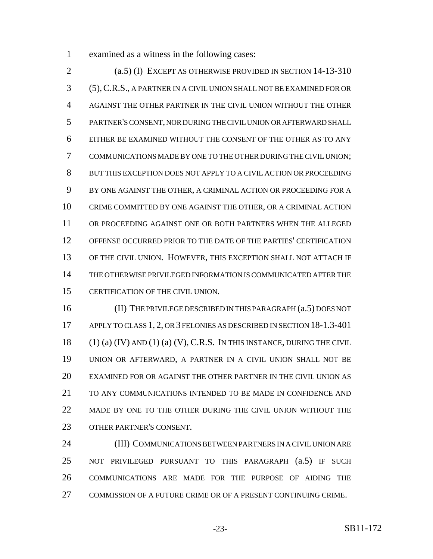examined as a witness in the following cases:

 (a.5) (I) EXCEPT AS OTHERWISE PROVIDED IN SECTION 14-13-310 (5),C.R.S., A PARTNER IN A CIVIL UNION SHALL NOT BE EXAMINED FOR OR AGAINST THE OTHER PARTNER IN THE CIVIL UNION WITHOUT THE OTHER PARTNER'S CONSENT, NOR DURING THE CIVIL UNION OR AFTERWARD SHALL EITHER BE EXAMINED WITHOUT THE CONSENT OF THE OTHER AS TO ANY COMMUNICATIONS MADE BY ONE TO THE OTHER DURING THE CIVIL UNION; BUT THIS EXCEPTION DOES NOT APPLY TO A CIVIL ACTION OR PROCEEDING BY ONE AGAINST THE OTHER, A CRIMINAL ACTION OR PROCEEDING FOR A CRIME COMMITTED BY ONE AGAINST THE OTHER, OR A CRIMINAL ACTION OR PROCEEDING AGAINST ONE OR BOTH PARTNERS WHEN THE ALLEGED OFFENSE OCCURRED PRIOR TO THE DATE OF THE PARTIES' CERTIFICATION OF THE CIVIL UNION. HOWEVER, THIS EXCEPTION SHALL NOT ATTACH IF THE OTHERWISE PRIVILEGED INFORMATION IS COMMUNICATED AFTER THE CERTIFICATION OF THE CIVIL UNION.

 (II) THE PRIVILEGE DESCRIBED IN THIS PARAGRAPH (a.5) DOES NOT 17 APPLY TO CLASS 1, 2, OR 3 FELONIES AS DESCRIBED IN SECTION 18-1.3-401  $(1)$  (a) (IV) AND (1) (a) (V), C.R.S. IN THIS INSTANCE, DURING THE CIVIL UNION OR AFTERWARD, A PARTNER IN A CIVIL UNION SHALL NOT BE EXAMINED FOR OR AGAINST THE OTHER PARTNER IN THE CIVIL UNION AS TO ANY COMMUNICATIONS INTENDED TO BE MADE IN CONFIDENCE AND MADE BY ONE TO THE OTHER DURING THE CIVIL UNION WITHOUT THE OTHER PARTNER'S CONSENT.

 (III) COMMUNICATIONS BETWEEN PARTNERS IN A CIVIL UNION ARE NOT PRIVILEGED PURSUANT TO THIS PARAGRAPH (a.5) IF SUCH COMMUNICATIONS ARE MADE FOR THE PURPOSE OF AIDING THE COMMISSION OF A FUTURE CRIME OR OF A PRESENT CONTINUING CRIME.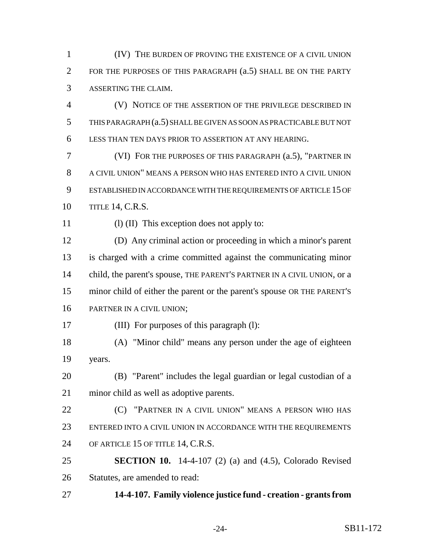(IV) THE BURDEN OF PROVING THE EXISTENCE OF A CIVIL UNION FOR THE PURPOSES OF THIS PARAGRAPH (a.5) SHALL BE ON THE PARTY ASSERTING THE CLAIM.

 (V) NOTICE OF THE ASSERTION OF THE PRIVILEGE DESCRIBED IN THIS PARAGRAPH (a.5) SHALL BE GIVEN AS SOON AS PRACTICABLE BUT NOT LESS THAN TEN DAYS PRIOR TO ASSERTION AT ANY HEARING.

 (VI) FOR THE PURPOSES OF THIS PARAGRAPH (a.5), "PARTNER IN A CIVIL UNION" MEANS A PERSON WHO HAS ENTERED INTO A CIVIL UNION ESTABLISHED IN ACCORDANCE WITH THE REQUIREMENTS OF ARTICLE 15 OF TITLE 14, C.R.S.

11 (I) (II) This exception does not apply to:

 (D) Any criminal action or proceeding in which a minor's parent is charged with a crime committed against the communicating minor 14 child, the parent's spouse, THE PARENT'S PARTNER IN A CIVIL UNION, or a minor child of either the parent or the parent's spouse OR THE PARENT'S PARTNER IN A CIVIL UNION;

(III) For purposes of this paragraph (l):

 (A) "Minor child" means any person under the age of eighteen years.

 (B) "Parent" includes the legal guardian or legal custodian of a minor child as well as adoptive parents.

**(C)** "PARTNER IN A CIVIL UNION" MEANS A PERSON WHO HAS ENTERED INTO A CIVIL UNION IN ACCORDANCE WITH THE REQUIREMENTS OF ARTICLE 15 OF TITLE 14, C.R.S.

 **SECTION 10.** 14-4-107 (2) (a) and (4.5), Colorado Revised Statutes, are amended to read:

**14-4-107. Family violence justice fund - creation - grants from**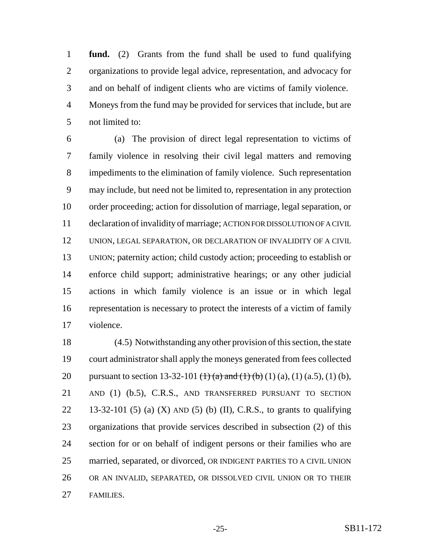**fund.** (2) Grants from the fund shall be used to fund qualifying organizations to provide legal advice, representation, and advocacy for and on behalf of indigent clients who are victims of family violence. Moneys from the fund may be provided for services that include, but are not limited to:

 (a) The provision of direct legal representation to victims of family violence in resolving their civil legal matters and removing impediments to the elimination of family violence. Such representation may include, but need not be limited to, representation in any protection order proceeding; action for dissolution of marriage, legal separation, or declaration of invalidity of marriage; ACTION FOR DISSOLUTION OF A CIVIL UNION, LEGAL SEPARATION, OR DECLARATION OF INVALIDITY OF A CIVIL UNION; paternity action; child custody action; proceeding to establish or enforce child support; administrative hearings; or any other judicial actions in which family violence is an issue or in which legal representation is necessary to protect the interests of a victim of family violence.

 (4.5) Notwithstanding any other provision of this section, the state court administrator shall apply the moneys generated from fees collected 20 pursuant to section 13-32-101  $\left(\frac{1}{2}\right)\left(\frac{1}{2}\right)\left(\frac{1}{2}\right)$  (1) (a), (1) (a,5), (1) (b), 21 AND (1) (b.5), C.R.S., AND TRANSFERRED PURSUANT TO SECTION 22 13-32-101 (5) (a) (X) AND (5) (b) (II), C.R.S., to grants to qualifying organizations that provide services described in subsection (2) of this section for or on behalf of indigent persons or their families who are married, separated, or divorced, OR INDIGENT PARTIES TO A CIVIL UNION OR AN INVALID, SEPARATED, OR DISSOLVED CIVIL UNION OR TO THEIR FAMILIES.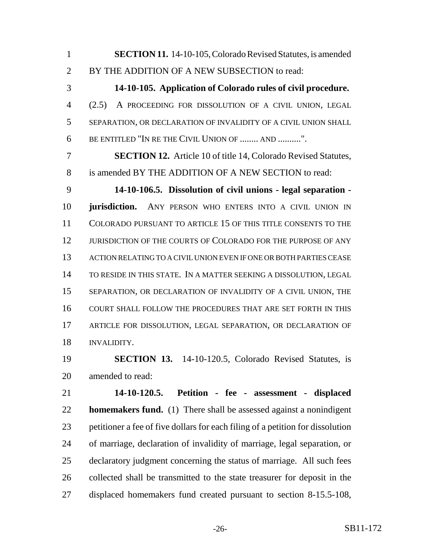**SECTION 11.** 14-10-105, Colorado Revised Statutes, is amended 2 BY THE ADDITION OF A NEW SUBSECTION to read:

 **14-10-105. Application of Colorado rules of civil procedure.** (2.5) A PROCEEDING FOR DISSOLUTION OF A CIVIL UNION, LEGAL SEPARATION, OR DECLARATION OF INVALIDITY OF A CIVIL UNION SHALL BE ENTITLED "IN RE THE CIVIL UNION OF ........ AND ..........".

 **SECTION 12.** Article 10 of title 14, Colorado Revised Statutes, is amended BY THE ADDITION OF A NEW SECTION to read:

 **14-10-106.5. Dissolution of civil unions - legal separation - jurisdiction.** ANY PERSON WHO ENTERS INTO A CIVIL UNION IN COLORADO PURSUANT TO ARTICLE 15 OF THIS TITLE CONSENTS TO THE JURISDICTION OF THE COURTS OF COLORADO FOR THE PURPOSE OF ANY ACTION RELATING TO A CIVIL UNION EVEN IF ONE OR BOTH PARTIES CEASE TO RESIDE IN THIS STATE. IN A MATTER SEEKING A DISSOLUTION, LEGAL SEPARATION, OR DECLARATION OF INVALIDITY OF A CIVIL UNION, THE COURT SHALL FOLLOW THE PROCEDURES THAT ARE SET FORTH IN THIS ARTICLE FOR DISSOLUTION, LEGAL SEPARATION, OR DECLARATION OF INVALIDITY.

 **SECTION 13.** 14-10-120.5, Colorado Revised Statutes, is amended to read:

 **14-10-120.5. Petition - fee - assessment - displaced homemakers fund.** (1) There shall be assessed against a nonindigent petitioner a fee of five dollars for each filing of a petition for dissolution of marriage, declaration of invalidity of marriage, legal separation, or declaratory judgment concerning the status of marriage. All such fees collected shall be transmitted to the state treasurer for deposit in the displaced homemakers fund created pursuant to section 8-15.5-108,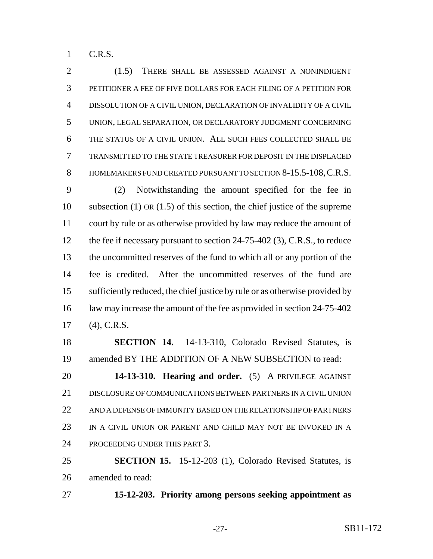C.R.S.

 (1.5) THERE SHALL BE ASSESSED AGAINST A NONINDIGENT PETITIONER A FEE OF FIVE DOLLARS FOR EACH FILING OF A PETITION FOR DISSOLUTION OF A CIVIL UNION, DECLARATION OF INVALIDITY OF A CIVIL UNION, LEGAL SEPARATION, OR DECLARATORY JUDGMENT CONCERNING THE STATUS OF A CIVIL UNION. ALL SUCH FEES COLLECTED SHALL BE TRANSMITTED TO THE STATE TREASURER FOR DEPOSIT IN THE DISPLACED 8 HOMEMAKERS FUND CREATED PURSUANT TO SECTION 8-15.5-108, C.R.S.

 (2) Notwithstanding the amount specified for the fee in subsection (1) OR (1.5) of this section, the chief justice of the supreme court by rule or as otherwise provided by law may reduce the amount of 12 the fee if necessary pursuant to section 24-75-402 (3), C.R.S., to reduce the uncommitted reserves of the fund to which all or any portion of the fee is credited. After the uncommitted reserves of the fund are sufficiently reduced, the chief justice by rule or as otherwise provided by 16 law may increase the amount of the fee as provided in section 24-75-402 (4), C.R.S.

 **SECTION 14.** 14-13-310, Colorado Revised Statutes, is amended BY THE ADDITION OF A NEW SUBSECTION to read:

 **14-13-310. Hearing and order.** (5) A PRIVILEGE AGAINST DISCLOSURE OF COMMUNICATIONS BETWEEN PARTNERS IN A CIVIL UNION AND A DEFENSE OF IMMUNITY BASED ON THE RELATIONSHIP OF PARTNERS IN A CIVIL UNION OR PARENT AND CHILD MAY NOT BE INVOKED IN A PROCEEDING UNDER THIS PART 3.

 **SECTION 15.** 15-12-203 (1), Colorado Revised Statutes, is amended to read:

**15-12-203. Priority among persons seeking appointment as**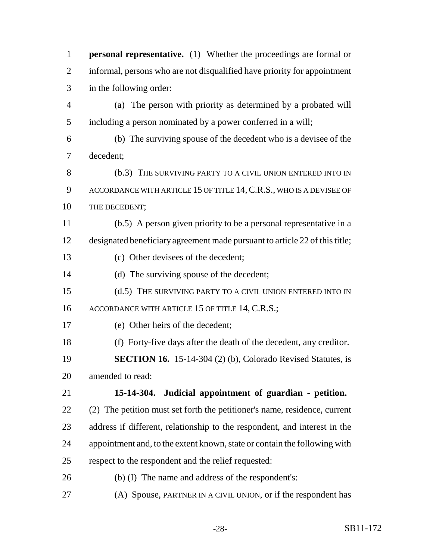| $\mathbf{1}$             | <b>personal representative.</b> (1) Whether the proceedings are formal or   |
|--------------------------|-----------------------------------------------------------------------------|
| $\overline{2}$           | informal, persons who are not disqualified have priority for appointment    |
| 3                        | in the following order:                                                     |
| $\overline{\mathcal{A}}$ | (a) The person with priority as determined by a probated will               |
| 5                        | including a person nominated by a power conferred in a will;                |
| 6                        | (b) The surviving spouse of the decedent who is a devisee of the            |
| 7                        | decedent;                                                                   |
| 8                        | (b.3) THE SURVIVING PARTY TO A CIVIL UNION ENTERED INTO IN                  |
| 9                        | ACCORDANCE WITH ARTICLE 15 OF TITLE 14, C.R.S., WHO IS A DEVISEE OF         |
| 10                       | THE DECEDENT;                                                               |
| 11                       | (b.5) A person given priority to be a personal representative in a          |
| 12                       | designated beneficiary agreement made pursuant to article 22 of this title; |
| 13                       | (c) Other devisees of the decedent;                                         |
| 14                       | (d) The surviving spouse of the decedent;                                   |
| 15                       | (d.5) THE SURVIVING PARTY TO A CIVIL UNION ENTERED INTO IN                  |
| 16                       | ACCORDANCE WITH ARTICLE 15 OF TITLE 14, C.R.S.;                             |
| 17                       | (e) Other heirs of the decedent;                                            |
| 18                       | (f) Forty-five days after the death of the decedent, any creditor.          |
| 19                       | <b>SECTION 16.</b> 15-14-304 (2) (b), Colorado Revised Statutes, is         |
| 20                       | amended to read:                                                            |
| 21                       | 15-14-304. Judicial appointment of guardian - petition.                     |
| 22                       | (2) The petition must set forth the petitioner's name, residence, current   |
| 23                       | address if different, relationship to the respondent, and interest in the   |
| 24                       | appointment and, to the extent known, state or contain the following with   |
| 25                       | respect to the respondent and the relief requested:                         |
| 26                       | (b) (I) The name and address of the respondent's:                           |
| 27                       | (A) Spouse, PARTNER IN A CIVIL UNION, or if the respondent has              |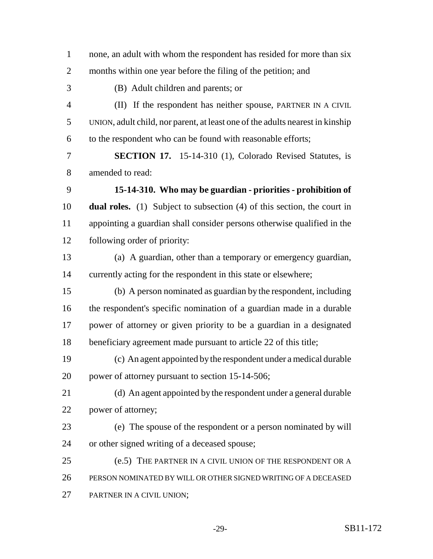| $\mathbf{1}$   | none, an adult with whom the respondent has resided for more than six            |
|----------------|----------------------------------------------------------------------------------|
| 2              | months within one year before the filing of the petition; and                    |
| 3              | (B) Adult children and parents; or                                               |
| $\overline{4}$ | (II) If the respondent has neither spouse, PARTNER IN A CIVIL                    |
| 5              | UNION, adult child, nor parent, at least one of the adults nearest in kinship    |
| 6              | to the respondent who can be found with reasonable efforts;                      |
| 7              | <b>SECTION 17.</b> 15-14-310 (1), Colorado Revised Statutes, is                  |
| 8              | amended to read:                                                                 |
| 9              | 15-14-310. Who may be guardian - priorities - prohibition of                     |
| 10             | <b>dual roles.</b> (1) Subject to subsection $(4)$ of this section, the court in |
| 11             | appointing a guardian shall consider persons otherwise qualified in the          |
| 12             | following order of priority:                                                     |
| 13             | (a) A guardian, other than a temporary or emergency guardian,                    |
| 14             | currently acting for the respondent in this state or elsewhere;                  |
| 15             | (b) A person nominated as guardian by the respondent, including                  |
| 16             | the respondent's specific nomination of a guardian made in a durable             |
| 17             | power of attorney or given priority to be a guardian in a designated             |
| 18             | beneficiary agreement made pursuant to article 22 of this title;                 |
| 19             | (c) An agent appointed by the respondent under a medical durable                 |
| 20             | power of attorney pursuant to section 15-14-506;                                 |
| 21             | (d) An agent appointed by the respondent under a general durable                 |
| 22             | power of attorney;                                                               |
| 23             | (e) The spouse of the respondent or a person nominated by will                   |
| 24             | or other signed writing of a deceased spouse;                                    |
| 25             | (e.5) THE PARTNER IN A CIVIL UNION OF THE RESPONDENT OR A                        |
| 26             | PERSON NOMINATED BY WILL OR OTHER SIGNED WRITING OF A DECEASED                   |
| 27             | PARTNER IN A CIVIL UNION;                                                        |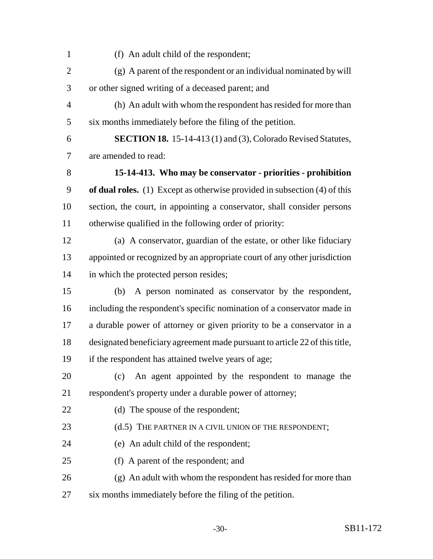(f) An adult child of the respondent; (g) A parent of the respondent or an individual nominated by will or other signed writing of a deceased parent; and (h) An adult with whom the respondent has resided for more than six months immediately before the filing of the petition. **SECTION 18.** 15-14-413 (1) and (3), Colorado Revised Statutes, are amended to read: **15-14-413. Who may be conservator - priorities - prohibition of dual roles.** (1) Except as otherwise provided in subsection (4) of this section, the court, in appointing a conservator, shall consider persons otherwise qualified in the following order of priority: (a) A conservator, guardian of the estate, or other like fiduciary appointed or recognized by an appropriate court of any other jurisdiction in which the protected person resides; (b) A person nominated as conservator by the respondent, including the respondent's specific nomination of a conservator made in a durable power of attorney or given priority to be a conservator in a designated beneficiary agreement made pursuant to article 22 of this title, if the respondent has attained twelve years of age; (c) An agent appointed by the respondent to manage the respondent's property under a durable power of attorney; 22 (d) The spouse of the respondent; 23 (d.5) THE PARTNER IN A CIVIL UNION OF THE RESPONDENT; (e) An adult child of the respondent; (f) A parent of the respondent; and (g) An adult with whom the respondent has resided for more than six months immediately before the filing of the petition.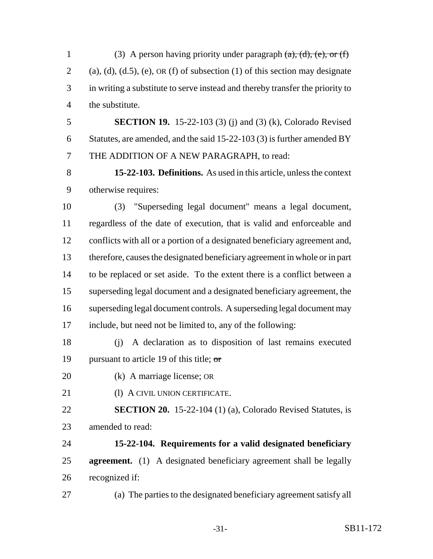1 (3) A person having priority under paragraph  $(a)$ ,  $(d)$ ,  $(e)$ , or  $(f)$ 2 (a), (d), (d.5), (e), OR (f) of subsection (1) of this section may designate in writing a substitute to serve instead and thereby transfer the priority to the substitute.

 **SECTION 19.** 15-22-103 (3) (j) and (3) (k), Colorado Revised Statutes, are amended, and the said 15-22-103 (3) is further amended BY THE ADDITION OF A NEW PARAGRAPH, to read:

 **15-22-103. Definitions.** As used in this article, unless the context otherwise requires:

 (3) "Superseding legal document" means a legal document, regardless of the date of execution, that is valid and enforceable and conflicts with all or a portion of a designated beneficiary agreement and, therefore, causes the designated beneficiary agreement in whole or in part to be replaced or set aside. To the extent there is a conflict between a superseding legal document and a designated beneficiary agreement, the superseding legal document controls. A superseding legal document may include, but need not be limited to, any of the following:

 (j) A declaration as to disposition of last remains executed 19 pursuant to article 19 of this title;  $\sigma$ 

- (k) A marriage license; OR
- 21 (1) A CIVIL UNION CERTIFICATE.

 **SECTION 20.** 15-22-104 (1) (a), Colorado Revised Statutes, is amended to read:

 **15-22-104. Requirements for a valid designated beneficiary agreement.** (1) A designated beneficiary agreement shall be legally recognized if:

(a) The parties to the designated beneficiary agreement satisfy all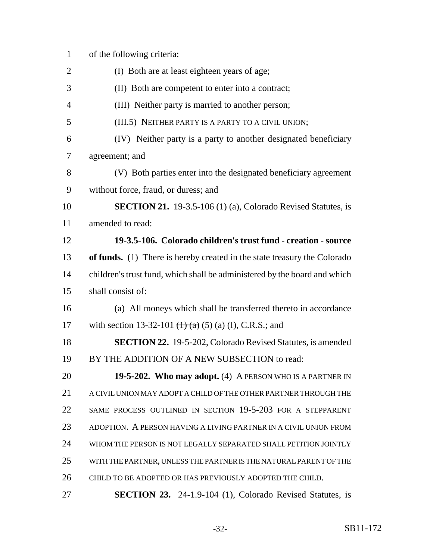| $\mathbf{1}$   | of the following criteria:                                                |
|----------------|---------------------------------------------------------------------------|
| $\overline{2}$ | (I) Both are at least eighteen years of age;                              |
| 3              | (II) Both are competent to enter into a contract;                         |
| $\overline{4}$ | (III) Neither party is married to another person;                         |
| 5              | (III.5) NEITHER PARTY IS A PARTY TO A CIVIL UNION;                        |
| 6              | (IV) Neither party is a party to another designated beneficiary           |
| 7              | agreement; and                                                            |
| 8              | (V) Both parties enter into the designated beneficiary agreement          |
| 9              | without force, fraud, or duress; and                                      |
| 10             | <b>SECTION 21.</b> 19-3.5-106 (1) (a), Colorado Revised Statutes, is      |
| 11             | amended to read:                                                          |
| 12             | 19-3.5-106. Colorado children's trust fund - creation - source            |
| 13             | of funds. (1) There is hereby created in the state treasury the Colorado  |
| 14             | children's trust fund, which shall be administered by the board and which |
| 15             | shall consist of:                                                         |
| 16             | (a) All moneys which shall be transferred thereto in accordance           |
| 17             | with section 13-32-101 $(1)$ $(2)$ $(3)$ $(1)$ , C.R.S.; and              |
| 18             | <b>SECTION 22.</b> 19-5-202, Colorado Revised Statutes, is amended        |
| 19             | BY THE ADDITION OF A NEW SUBSECTION to read:                              |
| 20             | 19-5-202. Who may adopt. (4) A PERSON WHO IS A PARTNER IN                 |
| 21             | A CIVIL UNION MAY ADOPT A CHILD OF THE OTHER PARTNER THROUGH THE          |
| 22             | SAME PROCESS OUTLINED IN SECTION 19-5-203 FOR A STEPPARENT                |
| 23             | ADOPTION. A PERSON HAVING A LIVING PARTNER IN A CIVIL UNION FROM          |
| 24             | WHOM THE PERSON IS NOT LEGALLY SEPARATED SHALL PETITION JOINTLY           |
| 25             | WITH THE PARTNER, UNLESS THE PARTNER IS THE NATURAL PARENT OF THE         |
| 26             | CHILD TO BE ADOPTED OR HAS PREVIOUSLY ADOPTED THE CHILD.                  |
| 27             | <b>SECTION 23.</b> 24-1.9-104 (1), Colorado Revised Statutes, is          |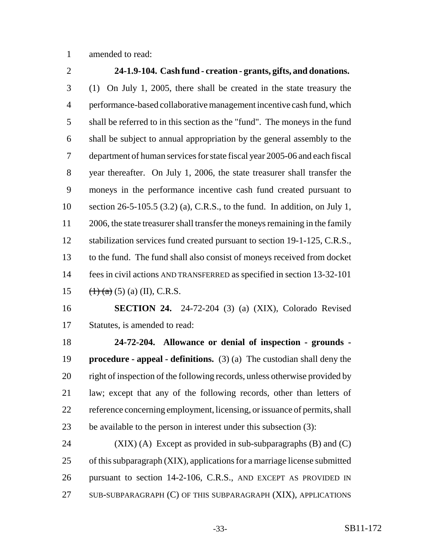amended to read:

 **24-1.9-104. Cash fund - creation - grants, gifts, and donations.** (1) On July 1, 2005, there shall be created in the state treasury the performance-based collaborative management incentive cash fund, which shall be referred to in this section as the "fund". The moneys in the fund shall be subject to annual appropriation by the general assembly to the department of human services for state fiscal year 2005-06 and each fiscal year thereafter. On July 1, 2006, the state treasurer shall transfer the moneys in the performance incentive cash fund created pursuant to section 26-5-105.5 (3.2) (a), C.R.S., to the fund. In addition, on July 1, 2006, the state treasurer shall transfer the moneys remaining in the family 12 stabilization services fund created pursuant to section 19-1-125, C.R.S., to the fund. The fund shall also consist of moneys received from docket fees in civil actions AND TRANSFERRED as specified in section 13-32-101  $(\text{1})^2 + (\text{2})^2 + (\text{3})^2 + (\text{3})^2 + (\text{1})^2 + (\text{1})^2 + (\text{2})^2 + (\text{3})^2 + (\text{1})^2 + (\text{4})^2 + (\text{5})^2 + (\text{5})^2 + (\text{6})^2 + (\text{7})^2 + (\text{8})^2 + (\text{9})^2 + (\text{10})^2 + (\text{11})^2 + (\text{12})^2 + (\text{13})^2 + (\text{14})^2 + (\text{15})^2 + (\text{16})^2 + (\text{17})^2 + (\text{17})^2 + (\text{18})^2$ 

 **SECTION 24.** 24-72-204 (3) (a) (XIX), Colorado Revised Statutes, is amended to read:

 **24-72-204. Allowance or denial of inspection - grounds - procedure - appeal - definitions.** (3) (a) The custodian shall deny the right of inspection of the following records, unless otherwise provided by law; except that any of the following records, other than letters of reference concerning employment, licensing, or issuance of permits, shall be available to the person in interest under this subsection (3):

 (XIX) (A) Except as provided in sub-subparagraphs (B) and (C) of this subparagraph (XIX), applications for a marriage license submitted pursuant to section 14-2-106, C.R.S., AND EXCEPT AS PROVIDED IN SUB-SUBPARAGRAPH (C) OF THIS SUBPARAGRAPH (XIX), APPLICATIONS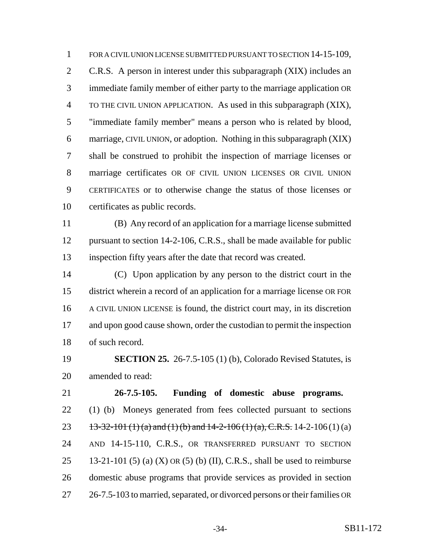1 FOR A CIVIL UNION LICENSE SUBMITTED PURSUANT TO SECTION 14-15-109, C.R.S. A person in interest under this subparagraph (XIX) includes an immediate family member of either party to the marriage application OR TO THE CIVIL UNION APPLICATION. As used in this subparagraph (XIX), "immediate family member" means a person who is related by blood, marriage, CIVIL UNION, or adoption. Nothing in this subparagraph (XIX) shall be construed to prohibit the inspection of marriage licenses or marriage certificates OR OF CIVIL UNION LICENSES OR CIVIL UNION CERTIFICATES or to otherwise change the status of those licenses or certificates as public records.

 (B) Any record of an application for a marriage license submitted 12 pursuant to section 14-2-106, C.R.S., shall be made available for public inspection fifty years after the date that record was created.

 (C) Upon application by any person to the district court in the district wherein a record of an application for a marriage license OR FOR A CIVIL UNION LICENSE is found, the district court may, in its discretion and upon good cause shown, order the custodian to permit the inspection of such record.

 **SECTION 25.** 26-7.5-105 (1) (b), Colorado Revised Statutes, is amended to read:

 **26-7.5-105. Funding of domestic abuse programs.** (1) (b) Moneys generated from fees collected pursuant to sections 23 13-32-101 (1) (a) and (1) (b) and -2-106 (1) (a), C.R.S. 14-2-106 (1) (a) AND 14-15-110, C.R.S., OR TRANSFERRED PURSUANT TO SECTION 25 13-21-101 (5) (a) (X) OR (5) (b) (II), C.R.S., shall be used to reimburse domestic abuse programs that provide services as provided in section 26-7.5-103 to married, separated, or divorced persons or their families OR